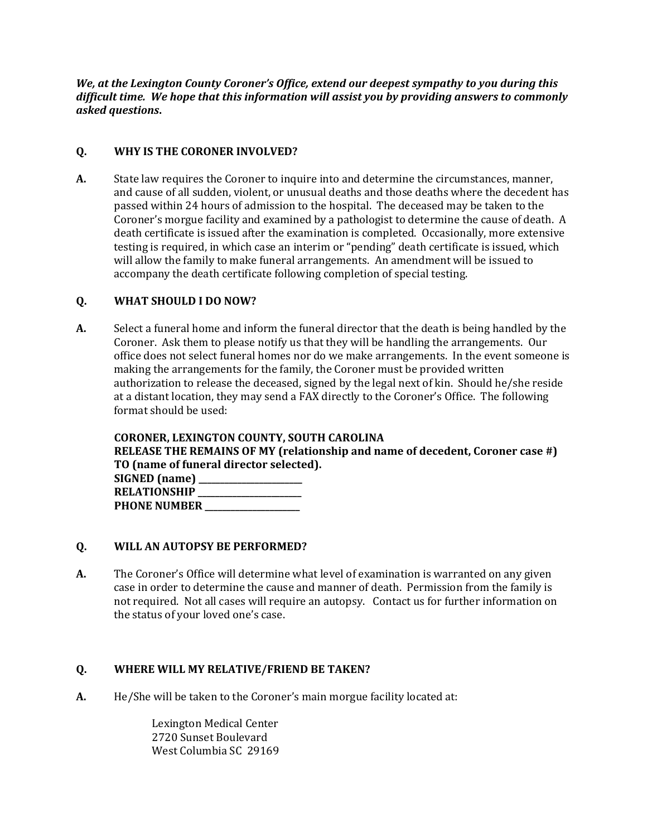*We, at the Lexington County Coroner's Office, extend our deepest sympathy to you during this difficult time. We hope that this information will assist you by providing answers to commonly asked questions***.**

# **Q. WHY IS THE CORONER INVOLVED?**

**A.** State law requires the Coroner to inquire into and determine the circumstances, manner, and cause of all sudden, violent, or unusual deaths and those deaths where the decedent has passed within 24 hours of admission to the hospital. The deceased may be taken to the Coroner's morgue facility and examined by a pathologist to determine the cause of death. A death certificate is issued after the examination is completed. Occasionally, more extensive testing is required, in which case an interim or "pending" death certificate is issued, which will allow the family to make funeral arrangements. An amendment will be issued to accompany the death certificate following completion of special testing.

## **Q. WHAT SHOULD I DO NOW?**

**A.** Select a funeral home and inform the funeral director that the death is being handled by the Coroner. Ask them to please notify us that they will be handling the arrangements. Our office does not select funeral homes nor do we make arrangements. In the event someone is making the arrangements for the family, the Coroner must be provided written authorization to release the deceased, signed by the legal next of kin. Should he/she reside at a distant location, they may send a FAX directly to the Coroner's Office. The following format should be used:

## **CORONER, LEXINGTON COUNTY, SOUTH CAROLINA**

**RELEASE THE REMAINS OF MY (relationship and name of decedent, Coroner case #) TO (name of funeral director selected).**

| SIGNED (name) __________________ |  |
|----------------------------------|--|
| <b>RELATIONSHIP</b>              |  |
| <b>PHONE NUMBER</b>              |  |

## **Q. WILL AN AUTOPSY BE PERFORMED?**

**A.** The Coroner's Office will determine what level of examination is warranted on any given case in order to determine the cause and manner of death. Permission from the family is not required. Not all cases will require an autopsy. Contact us for further information on the status of your loved one's case.

## **Q. WHERE WILL MY RELATIVE/FRIEND BE TAKEN?**

**A.** He/She will be taken to the Coroner's main morgue facility located at:

 Lexington Medical Center 2720 Sunset Boulevard West Columbia SC 29169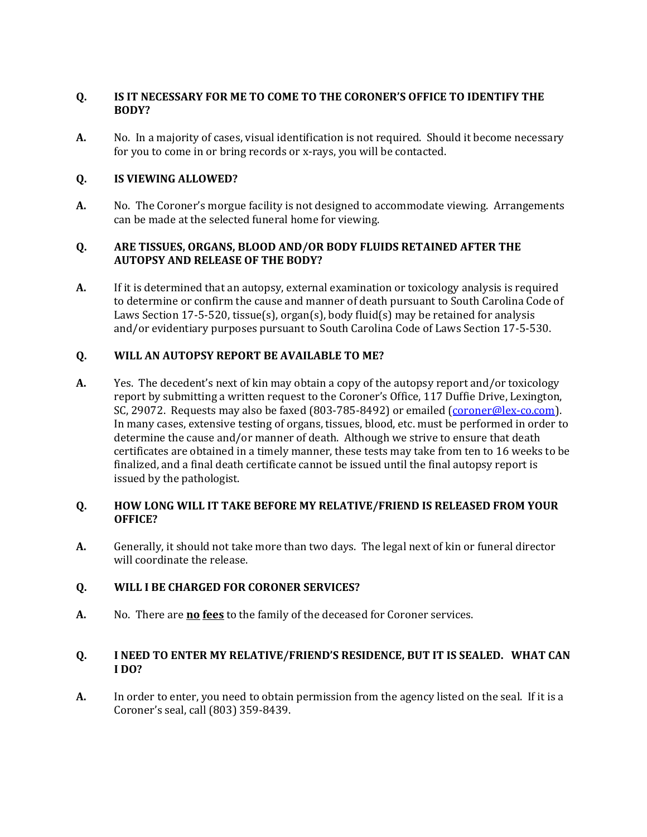### **Q. IS IT NECESSARY FOR ME TO COME TO THE CORONER'S OFFICE TO IDENTIFY THE BODY?**

**A.** No. In a majority of cases, visual identification is not required. Should it become necessary for you to come in or bring records or x-rays, you will be contacted.

### **Q. IS VIEWING ALLOWED?**

**A.** No. The Coroner's morgue facility is not designed to accommodate viewing. Arrangements can be made at the selected funeral home for viewing.

#### **Q. ARE TISSUES, ORGANS, BLOOD AND/OR BODY FLUIDS RETAINED AFTER THE AUTOPSY AND RELEASE OF THE BODY?**

**A.** If it is determined that an autopsy, external examination or toxicology analysis is required to determine or confirm the cause and manner of death pursuant to South Carolina Code of Laws Section 17-5-520, tissue(s), organ(s), body fluid(s) may be retained for analysis and/or evidentiary purposes pursuant to South Carolina Code of Laws Section 17‐5‐530.

### **Q. WILL AN AUTOPSY REPORT BE AVAILABLE TO ME?**

**A.** Yes. The decedent's next of kin may obtain a copy of the autopsy report and/or toxicology report by submitting a written request to the Coroner's Office, 117 Duffie Drive, Lexington, SC, 29072. Requests may also be faxed (803-785-8492) or emailed (coroner@lex-co.com). In many cases, extensive testing of organs, tissues, blood, etc. must be performed in order to determine the cause and/or manner of death. Although we strive to ensure that death certificates are obtained in a timely manner, these tests may take from ten to 16 weeks to be finalized, and a final death certificate cannot be issued until the final autopsy report is issued by the pathologist.

### **Q. HOW LONG WILL IT TAKE BEFORE MY RELATIVE/FRIEND IS RELEASED FROM YOUR OFFICE?**

**A.** Generally, it should not take more than two days. The legal next of kin or funeral director will coordinate the release.

## **Q. WILL I BE CHARGED FOR CORONER SERVICES?**

**A.** No. There are **no fees** to the family of the deceased for Coroner services.

### **Q. I NEED TO ENTER MY RELATIVE/FRIEND'S RESIDENCE, BUT IT IS SEALED. WHAT CAN I DO?**

**A.** In order to enter, you need to obtain permission from the agency listed on the seal. If it is a Coroner's seal, call (803) 359‐8439.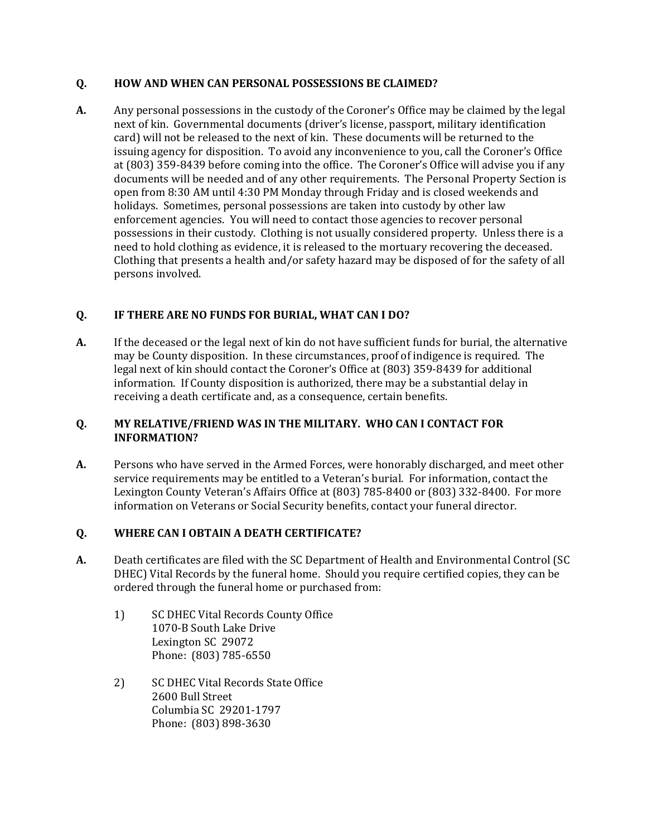### **Q. HOW AND WHEN CAN PERSONAL POSSESSIONS BE CLAIMED?**

**A.** Any personal possessions in the custody of the Coroner's Office may be claimed by the legal next of kin. Governmental documents (driver's license, passport, military identification card) will not be released to the next of kin. These documents will be returned to the issuing agency for disposition. To avoid any inconvenience to you, call the Coroner's Office at (803) 359‐8439 before coming into the office. The Coroner's Office will advise you if any documents will be needed and of any other requirements. The Personal Property Section is open from 8:30 AM until 4:30 PM Monday through Friday and is closed weekends and holidays. Sometimes, personal possessions are taken into custody by other law enforcement agencies. You will need to contact those agencies to recover personal possessions in their custody. Clothing is not usually considered property. Unless there is a need to hold clothing as evidence, it is released to the mortuary recovering the deceased. Clothing that presents a health and/or safety hazard may be disposed of for the safety of all persons involved.

## **Q. IF THERE ARE NO FUNDS FOR BURIAL, WHAT CAN I DO?**

**A.** If the deceased or the legal next of kin do not have sufficient funds for burial, the alternative may be County disposition. In these circumstances, proof of indigence is required. The legal next of kin should contact the Coroner's Office at (803) 359‐8439 for additional information. If County disposition is authorized, there may be a substantial delay in receiving a death certificate and, as a consequence, certain benefits.

### **Q. MY RELATIVE/FRIEND WAS IN THE MILITARY. WHO CAN I CONTACT FOR INFORMATION?**

**A.** Persons who have served in the Armed Forces, were honorably discharged, and meet other service requirements may be entitled to a Veteran's burial. For information, contact the Lexington County Veteran's Affairs Office at (803) 785‐8400 or (803) 332‐8400. For more information on Veterans or Social Security benefits, contact your funeral director.

## **Q. WHERE CAN I OBTAIN A DEATH CERTIFICATE?**

- **A.** Death certificates are filed with the SC Department of Health and Environmental Control (SC DHEC) Vital Records by the funeral home. Should you require certified copies, they can be ordered through the funeral home or purchased from:
	- 1) SC DHEC Vital Records County Office 1070‐B South Lake Drive Lexington SC 29072 Phone: (803) 785‐6550
	- 2) SC DHEC Vital Records State Office 2600 Bull Street Columbia SC 29201‐1797 Phone: (803) 898‐3630